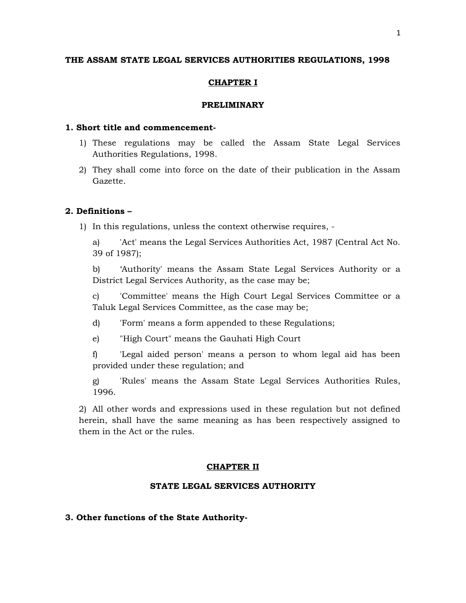# **THE ASSAM STATE LEGAL SERVICES AUTHORITIES REGULATIONS, 1998**

# **CHAPTER I**

# **PRELIMINARY**

# **1. Short title and commencement-**

- 1) These regulations may be called the Assam State Legal Services Authorities Regulations, 1998.
- 2) They shall come into force on the date of their publication in the Assam Gazette.

# **2. Definitions –**

- 1) In this regulations, unless the context otherwise requires,
	- a) 'Act' means the Legal Services Authorities Act, 1987 (Central Act No. 39 of 1987);

b) 'Authority' means the Assam State Legal Services Authority or a District Legal Services Authority, as the case may be;

c) 'Committee' means the High Court Legal Services Committee or a Taluk Legal Services Committee, as the case may be;

- d) 'Form' means a form appended to these Regulations;
- e) "High Court" means the Gauhati High Court

f) 'Legal aided person' means a person to whom legal aid has been provided under these regulation; and

g) 'Rules' means the Assam State Legal Services Authorities Rules, 1996.

2) All other words and expressions used in these regulation but not defined herein, shall have the same meaning as has been respectively assigned to them in the Act or the rules.

# **CHAPTER II**

# **STATE LEGAL SERVICES AUTHORITY**

# **3. Other functions of the State Authority-**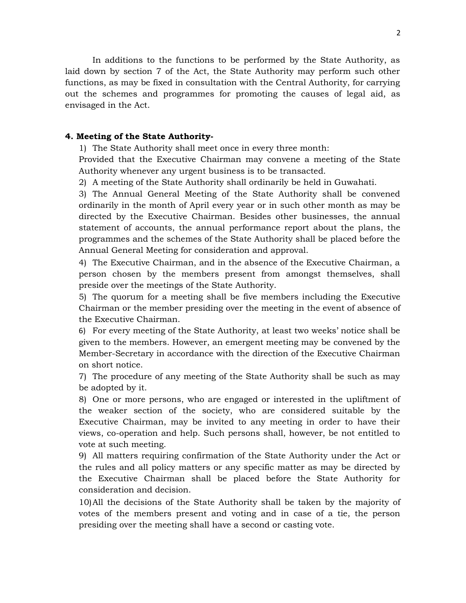In additions to the functions to be performed by the State Authority, as laid down by section 7 of the Act, the State Authority may perform such other functions, as may be fixed in consultation with the Central Authority, for carrying out the schemes and programmes for promoting the causes of legal aid, as envisaged in the Act.

# **4. Meeting of the State Authority-**

1) The State Authority shall meet once in every three month:

Provided that the Executive Chairman may convene a meeting of the State Authority whenever any urgent business is to be transacted.

2) A meeting of the State Authority shall ordinarily be held in Guwahati.

3) The Annual General Meeting of the State Authority shall be convened ordinarily in the month of April every year or in such other month as may be directed by the Executive Chairman. Besides other businesses, the annual statement of accounts, the annual performance report about the plans, the programmes and the schemes of the State Authority shall be placed before the Annual General Meeting for consideration and approval.

4) The Executive Chairman, and in the absence of the Executive Chairman, a person chosen by the members present from amongst themselves, shall preside over the meetings of the State Authority.

5) The quorum for a meeting shall be five members including the Executive Chairman or the member presiding over the meeting in the event of absence of the Executive Chairman.

6) For every meeting of the State Authority, at least two weeks' notice shall be given to the members. However, an emergent meeting may be convened by the Member-Secretary in accordance with the direction of the Executive Chairman on short notice.

7) The procedure of any meeting of the State Authority shall be such as may be adopted by it.

8) One or more persons, who are engaged or interested in the upliftment of the weaker section of the society, who are considered suitable by the Executive Chairman, may be invited to any meeting in order to have their views, co-operation and help. Such persons shall, however, be not entitled to vote at such meeting.

9) All matters requiring confirmation of the State Authority under the Act or the rules and all policy matters or any specific matter as may be directed by the Executive Chairman shall be placed before the State Authority for consideration and decision.

10)All the decisions of the State Authority shall be taken by the majority of votes of the members present and voting and in case of a tie, the person presiding over the meeting shall have a second or casting vote.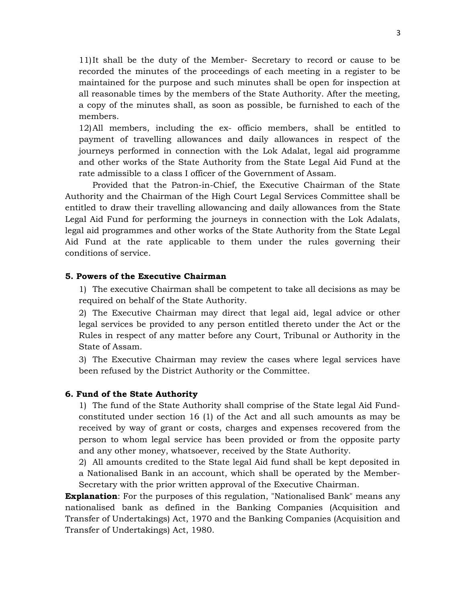11)It shall be the duty of the Member- Secretary to record or cause to be recorded the minutes of the proceedings of each meeting in a register to be maintained for the purpose and such minutes shall be open for inspection at all reasonable times by the members of the State Authority. After the meeting, a copy of the minutes shall, as soon as possible, be furnished to each of the members.

12)All members, including the ex- officio members, shall be entitled to payment of travelling allowances and daily allowances in respect of the journeys performed in connection with the Lok Adalat, legal aid programme and other works of the State Authority from the State Legal Aid Fund at the rate admissible to a class I officer of the Government of Assam.

Provided that the Patron-in-Chief, the Executive Chairman of the State Authority and the Chairman of the High Court Legal Services Committee shall be entitled to draw their travelling allowancing and daily allowances from the State Legal Aid Fund for performing the journeys in connection with the Lok Adalats, legal aid programmes and other works of the State Authority from the State Legal Aid Fund at the rate applicable to them under the rules governing their conditions of service.

# **5. Powers of the Executive Chairman**

1) The executive Chairman shall be competent to take all decisions as may be required on behalf of the State Authority.

2) The Executive Chairman may direct that legal aid, legal advice or other legal services be provided to any person entitled thereto under the Act or the Rules in respect of any matter before any Court, Tribunal or Authority in the State of Assam.

3) The Executive Chairman may review the cases where legal services have been refused by the District Authority or the Committee.

# **6. Fund of the State Authority**

1) The fund of the State Authority shall comprise of the State legal Aid Fundconstituted under section 16 (1) of the Act and all such amounts as may be received by way of grant or costs, charges and expenses recovered from the person to whom legal service has been provided or from the opposite party and any other money, whatsoever, received by the State Authority.

2) All amounts credited to the State legal Aid fund shall be kept deposited in a Nationalised Bank in an account, which shall be operated by the Member-Secretary with the prior written approval of the Executive Chairman.

**Explanation**: For the purposes of this regulation, "Nationalised Bank" means any nationalised bank as defined in the Banking Companies (Acquisition and Transfer of Undertakings) Act, 1970 and the Banking Companies (Acquisition and Transfer of Undertakings) Act, 1980.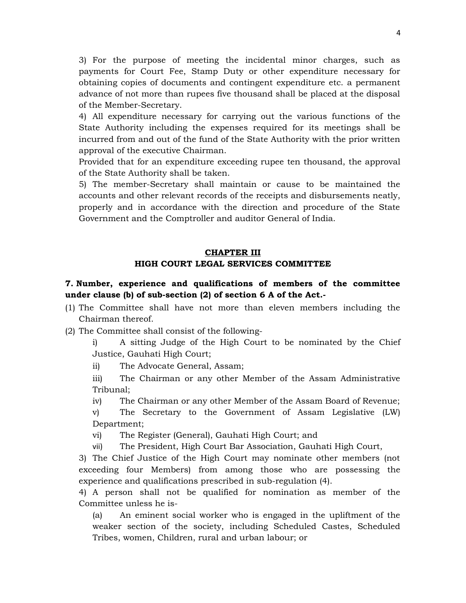3) For the purpose of meeting the incidental minor charges, such as payments for Court Fee, Stamp Duty or other expenditure necessary for obtaining copies of documents and contingent expenditure etc. a permanent advance of not more than rupees five thousand shall be placed at the disposal of the Member-Secretary.

4) All expenditure necessary for carrying out the various functions of the State Authority including the expenses required for its meetings shall be incurred from and out of the fund of the State Authority with the prior written approval of the executive Chairman.

Provided that for an expenditure exceeding rupee ten thousand, the approval of the State Authority shall be taken.

5) The member-Secretary shall maintain or cause to be maintained the accounts and other relevant records of the receipts and disbursements neatly, properly and in accordance with the direction and procedure of the State Government and the Comptroller and auditor General of India.

# **CHAPTER III**

# **HIGH COURT LEGAL SERVICES COMMITTEE**

# **7. Number, experience and qualifications of members of the committee under clause (b) of sub-section (2) of section 6 A of the Act.-**

- (1) The Committee shall have not more than eleven members including the Chairman thereof.
- (2) The Committee shall consist of the following-

i) A sitting Judge of the High Court to be nominated by the Chief Justice, Gauhati High Court;

ii) The Advocate General, Assam;

iii) The Chairman or any other Member of the Assam Administrative Tribunal;

iv) The Chairman or any other Member of the Assam Board of Revenue;

v) The Secretary to the Government of Assam Legislative (LW) Department;

- vi) The Register (General), Gauhati High Court; and
- vii) The President, High Court Bar Association, Gauhati High Court,

3) The Chief Justice of the High Court may nominate other members (not exceeding four Members) from among those who are possessing the experience and qualifications prescribed in sub-regulation (4).

4) A person shall not be qualified for nomination as member of the Committee unless he is-

(a) An eminent social worker who is engaged in the upliftment of the weaker section of the society, including Scheduled Castes, Scheduled Tribes, women, Children, rural and urban labour; or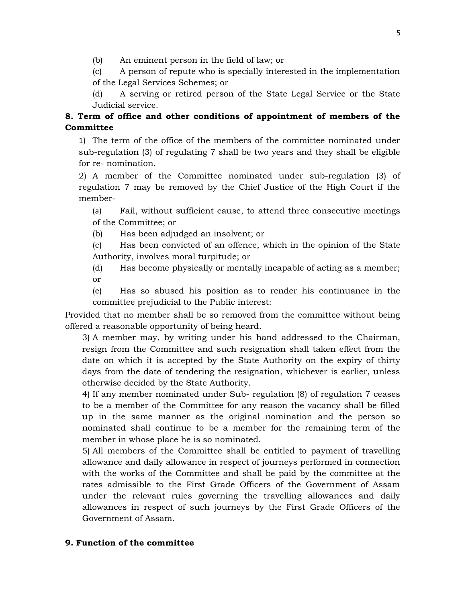(b) An eminent person in the field of law; or

(c) A person of repute who is specially interested in the implementation of the Legal Services Schemes; or

(d) A serving or retired person of the State Legal Service or the State Judicial service.

# **8. Term of office and other conditions of appointment of members of the Committee**

1) The term of the office of the members of the committee nominated under sub-regulation (3) of regulating 7 shall be two years and they shall be eligible for re- nomination.

2) A member of the Committee nominated under sub-regulation (3) of regulation 7 may be removed by the Chief Justice of the High Court if the member-

(a) Fail, without sufficient cause, to attend three consecutive meetings of the Committee; or

(b) Has been adjudged an insolvent; or

(c) Has been convicted of an offence, which in the opinion of the State Authority, involves moral turpitude; or

(d) Has become physically or mentally incapable of acting as a member; or

(e) Has so abused his position as to render his continuance in the committee prejudicial to the Public interest:

Provided that no member shall be so removed from the committee without being offered a reasonable opportunity of being heard.

3) A member may, by writing under his hand addressed to the Chairman, resign from the Committee and such resignation shall taken effect from the date on which it is accepted by the State Authority on the expiry of thirty days from the date of tendering the resignation, whichever is earlier, unless otherwise decided by the State Authority.

4) If any member nominated under Sub- regulation (8) of regulation 7 ceases to be a member of the Committee for any reason the vacancy shall be filled up in the same manner as the original nomination and the person so nominated shall continue to be a member for the remaining term of the member in whose place he is so nominated.

5) All members of the Committee shall be entitled to payment of travelling allowance and daily allowance in respect of journeys performed in connection with the works of the Committee and shall be paid by the committee at the rates admissible to the First Grade Officers of the Government of Assam under the relevant rules governing the travelling allowances and daily allowances in respect of such journeys by the First Grade Officers of the Government of Assam.

# **9. Function of the committee**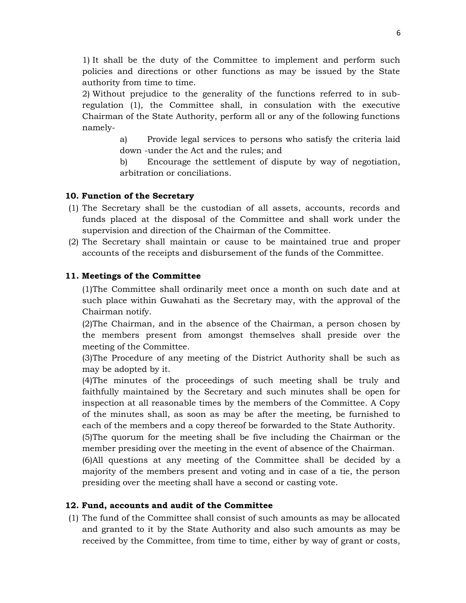1) It shall be the duty of the Committee to implement and perform such policies and directions or other functions as may be issued by the State authority from time to time.

2) Without prejudice to the generality of the functions referred to in subregulation (1), the Committee shall, in consulation with the executive Chairman of the State Authority, perform all or any of the following functions namely-

> a) Provide legal services to persons who satisfy the criteria laid down -under the Act and the rules; and

> b) Encourage the settlement of dispute by way of negotiation, arbitration or conciliations.

# **10. Function of the Secretary**

- (1) The Secretary shall be the custodian of all assets, accounts, records and funds placed at the disposal of the Committee and shall work under the supervision and direction of the Chairman of the Committee.
- (2) The Secretary shall maintain or cause to be maintained true and proper accounts of the receipts and disbursement of the funds of the Committee.

# **11. Meetings of the Committee**

(1)The Committee shall ordinarily meet once a month on such date and at such place within Guwahati as the Secretary may, with the approval of the Chairman notify.

(2)The Chairman, and in the absence of the Chairman, a person chosen by the members present from amongst themselves shall preside over the meeting of the Committee.

(3)The Procedure of any meeting of the District Authority shall be such as may be adopted by it.

(4)The minutes of the proceedings of such meeting shall be truly and faithfully maintained by the Secretary and such minutes shall be open for inspection at all reasonable times by the members of the Committee. A Copy of the minutes shall, as soon as may be after the meeting, be furnished to each of the members and a copy thereof be forwarded to the State Authority.

(5)The quorum for the meeting shall be five including the Chairman or the member presiding over the meeting in the event of absence of the Chairman.

(6)All questions at any meeting of the Committee shall be decided by a majority of the members present and voting and in case of a tie, the person presiding over the meeting shall have a second or casting vote.

# **12. Fund, accounts and audit of the Committee**

(1) The fund of the Committee shall consist of such amounts as may be allocated and granted to it by the State Authority and also such amounts as may be received by the Committee, from time to time, either by way of grant or costs,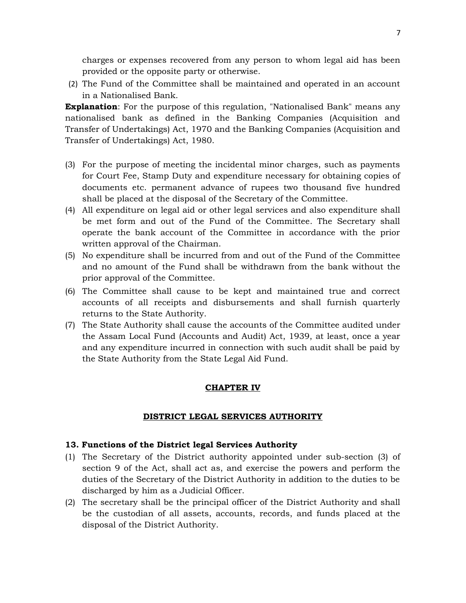charges or expenses recovered from any person to whom legal aid has been provided or the opposite party or otherwise.

(2) The Fund of the Committee shall be maintained and operated in an account in a Nationalised Bank.

**Explanation**: For the purpose of this regulation, "Nationalised Bank" means any nationalised bank as defined in the Banking Companies (Acquisition and Transfer of Undertakings) Act, 1970 and the Banking Companies (Acquisition and Transfer of Undertakings) Act, 1980.

- (3) For the purpose of meeting the incidental minor charges, such as payments for Court Fee, Stamp Duty and expenditure necessary for obtaining copies of documents etc. permanent advance of rupees two thousand five hundred shall be placed at the disposal of the Secretary of the Committee.
- (4) All expenditure on legal aid or other legal services and also expenditure shall be met form and out of the Fund of the Committee. The Secretary shall operate the bank account of the Committee in accordance with the prior written approval of the Chairman.
- (5) No expenditure shall be incurred from and out of the Fund of the Committee and no amount of the Fund shall be withdrawn from the bank without the prior approval of the Committee.
- (6) The Committee shall cause to be kept and maintained true and correct accounts of all receipts and disbursements and shall furnish quarterly returns to the State Authority.
- (7) The State Authority shall cause the accounts of the Committee audited under the Assam Local Fund (Accounts and Audit) Act, 1939, at least, once a year and any expenditure incurred in connection with such audit shall be paid by the State Authority from the State Legal Aid Fund.

# **CHAPTER IV**

# **DISTRICT LEGAL SERVICES AUTHORITY**

# **13. Functions of the District legal Services Authority**

- (1) The Secretary of the District authority appointed under sub-section (3) of section 9 of the Act, shall act as, and exercise the powers and perform the duties of the Secretary of the District Authority in addition to the duties to be discharged by him as a Judicial Officer.
- (2) The secretary shall be the principal officer of the District Authority and shall be the custodian of all assets, accounts, records, and funds placed at the disposal of the District Authority.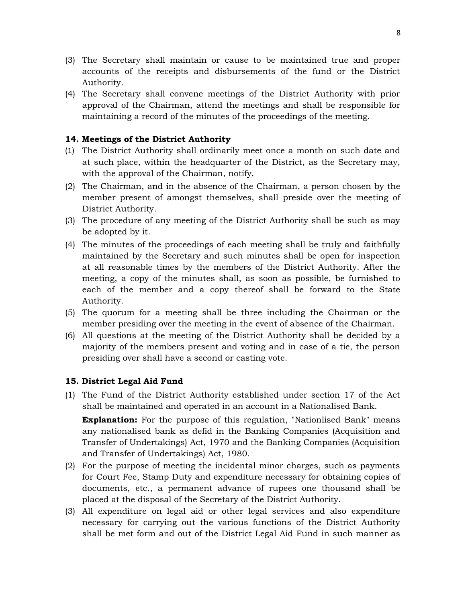- (3) The Secretary shall maintain or cause to be maintained true and proper accounts of the receipts and disbursements of the fund or the District Authority.
- (4) The Secretary shall convene meetings of the District Authority with prior approval of the Chairman, attend the meetings and shall be responsible for maintaining a record of the minutes of the proceedings of the meeting.

# **14. Meetings of the District Authority**

- (1) The District Authority shall ordinarily meet once a month on such date and at such place, within the headquarter of the District, as the Secretary may, with the approval of the Chairman, notify.
- (2) The Chairman, and in the absence of the Chairman, a person chosen by the member present of amongst themselves, shall preside over the meeting of District Authority.
- (3) The procedure of any meeting of the District Authority shall be such as may be adopted by it.
- (4) The minutes of the proceedings of each meeting shall be truly and faithfully maintained by the Secretary and such minutes shall be open for inspection at all reasonable times by the members of the District Authority. After the meeting, a copy of the minutes shall, as soon as possible, be furnished to each of the member and a copy thereof shall be forward to the State Authority.
- (5) The quorum for a meeting shall be three including the Chairman or the member presiding over the meeting in the event of absence of the Chairman.
- (6) All questions at the meeting of the District Authority shall be decided by a majority of the members present and voting and in case of a tie, the person presiding over shall have a second or casting vote.

# **15. District Legal Aid Fund**

- (1) The Fund of the District Authority established under section 17 of the Act shall be maintained and operated in an account in a Nationalised Bank. **Explanation:** For the purpose of this regulation, "Nationlised Bank" means any nationalised bank as defid in the Banking Companies (Acquisition and
	- Transfer of Undertakings) Act, 1970 and the Banking Companies (Acquisition and Transfer of Undertakings) Act, 1980.
- (2) For the purpose of meeting the incidental minor charges, such as payments for Court Fee, Stamp Duty and expenditure necessary for obtaining copies of documents, etc., a permanent advance of rupees one thousand shall be placed at the disposal of the Secretary of the District Authority.
- (3) All expenditure on legal aid or other legal services and also expenditure necessary for carrying out the various functions of the District Authority shall be met form and out of the District Legal Aid Fund in such manner as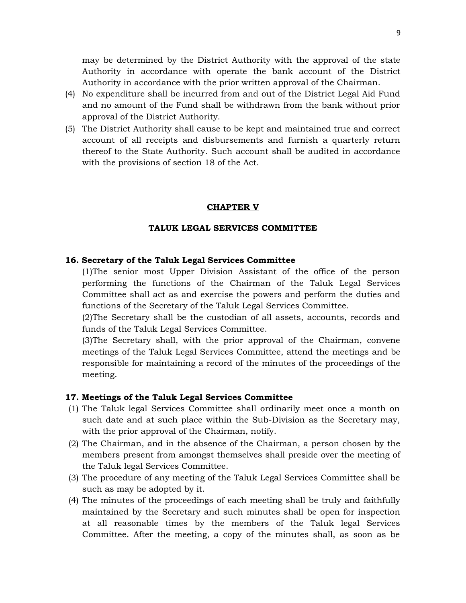may be determined by the District Authority with the approval of the state Authority in accordance with operate the bank account of the District Authority in accordance with the prior written approval of the Chairman.

- (4) No expenditure shall be incurred from and out of the District Legal Aid Fund and no amount of the Fund shall be withdrawn from the bank without prior approval of the District Authority.
- (5) The District Authority shall cause to be kept and maintained true and correct account of all receipts and disbursements and furnish a quarterly return thereof to the State Authority. Such account shall be audited in accordance with the provisions of section 18 of the Act.

# **CHAPTER V**

# **TALUK LEGAL SERVICES COMMITTEE**

# **16. Secretary of the Taluk Legal Services Committee**

(1)The senior most Upper Division Assistant of the office of the person performing the functions of the Chairman of the Taluk Legal Services Committee shall act as and exercise the powers and perform the duties and functions of the Secretary of the Taluk Legal Services Committee.

(2)The Secretary shall be the custodian of all assets, accounts, records and funds of the Taluk Legal Services Committee.

(3)The Secretary shall, with the prior approval of the Chairman, convene meetings of the Taluk Legal Services Committee, attend the meetings and be responsible for maintaining a record of the minutes of the proceedings of the meeting.

# **17. Meetings of the Taluk Legal Services Committee**

- (1) The Taluk legal Services Committee shall ordinarily meet once a month on such date and at such place within the Sub-Division as the Secretary may, with the prior approval of the Chairman, notify.
- (2) The Chairman, and in the absence of the Chairman, a person chosen by the members present from amongst themselves shall preside over the meeting of the Taluk legal Services Committee.
- (3) The procedure of any meeting of the Taluk Legal Services Committee shall be such as may be adopted by it.
- (4) The minutes of the proceedings of each meeting shall be truly and faithfully maintained by the Secretary and such minutes shall be open for inspection at all reasonable times by the members of the Taluk legal Services Committee. After the meeting, a copy of the minutes shall, as soon as be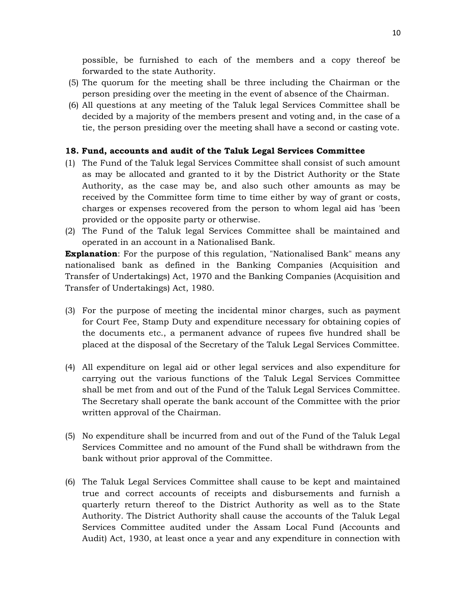possible, be furnished to each of the members and a copy thereof be forwarded to the state Authority.

- (5) The quorum for the meeting shall be three including the Chairman or the person presiding over the meeting in the event of absence of the Chairman.
- (6) All questions at any meeting of the Taluk legal Services Committee shall be decided by a majority of the members present and voting and, in the case of a tie, the person presiding over the meeting shall have a second or casting vote.

# **18. Fund, accounts and audit of the Taluk Legal Services Committee**

- (1) The Fund of the Taluk legal Services Committee shall consist of such amount as may be allocated and granted to it by the District Authority or the State Authority, as the case may be, and also such other amounts as may be received by the Committee form time to time either by way of grant or costs, charges or expenses recovered from the person to whom legal aid has 'been provided or the opposite party or otherwise.
- (2) The Fund of the Taluk legal Services Committee shall be maintained and operated in an account in a Nationalised Bank.

**Explanation**: For the purpose of this regulation, "Nationalised Bank" means any nationalised bank as defined in the Banking Companies (Acquisition and Transfer of Undertakings) Act, 1970 and the Banking Companies (Acquisition and Transfer of Undertakings) Act, 1980.

- (3) For the purpose of meeting the incidental minor charges, such as payment for Court Fee, Stamp Duty and expenditure necessary for obtaining copies of the documents etc., a permanent advance of rupees five hundred shall be placed at the disposal of the Secretary of the Taluk Legal Services Committee.
- (4) All expenditure on legal aid or other legal services and also expenditure for carrying out the various functions of the Taluk Legal Services Committee shall be met from and out of the Fund of the Taluk Legal Services Committee. The Secretary shall operate the bank account of the Committee with the prior written approval of the Chairman.
- (5) No expenditure shall be incurred from and out of the Fund of the Taluk Legal Services Committee and no amount of the Fund shall be withdrawn from the bank without prior approval of the Committee.
- (6) The Taluk Legal Services Committee shall cause to be kept and maintained true and correct accounts of receipts and disbursements and furnish a quarterly return thereof to the District Authority as well as to the State Authority. The District Authority shall cause the accounts of the Taluk Legal Services Committee audited under the Assam Local Fund (Accounts and Audit) Act, 1930, at least once a year and any expenditure in connection with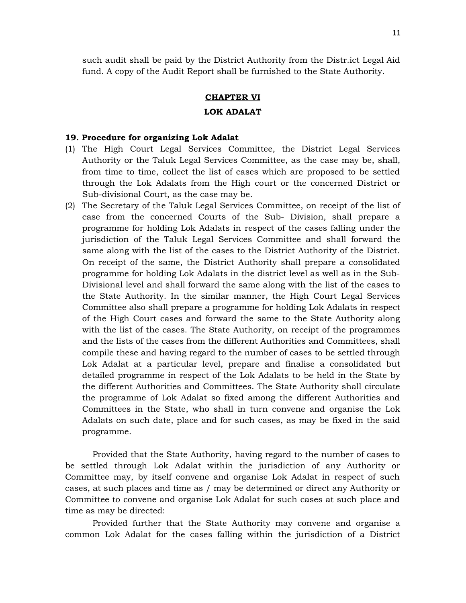such audit shall be paid by the District Authority from the Distr.ict Legal Aid fund. A copy of the Audit Report shall be furnished to the State Authority.

#### **CHAPTER VI**

# **LOK ADALAT**

# **19. Procedure for organizing Lok Adalat**

- (1) The High Court Legal Services Committee, the District Legal Services Authority or the Taluk Legal Services Committee, as the case may be, shall, from time to time, collect the list of cases which are proposed to be settled through the Lok Adalats from the High court or the concerned District or Sub-divisional Court, as the case may be.
- (2) The Secretary of the Taluk Legal Services Committee, on receipt of the list of case from the concerned Courts of the Sub- Division, shall prepare a programme for holding Lok Adalats in respect of the cases falling under the jurisdiction of the Taluk Legal Services Committee and shall forward the same along with the list of the cases to the District Authority of the District. On receipt of the same, the District Authority shall prepare a consolidated programme for holding Lok Adalats in the district level as well as in the Sub-Divisional level and shall forward the same along with the list of the cases to the State Authority. In the similar manner, the High Court Legal Services Committee also shall prepare a programme for holding Lok Adalats in respect of the High Court cases and forward the same to the State Authority along with the list of the cases. The State Authority, on receipt of the programmes and the lists of the cases from the different Authorities and Committees, shall compile these and having regard to the number of cases to be settled through Lok Adalat at a particular level, prepare and finalise a consolidated but detailed programme in respect of the Lok Adalats to be held in the State by the different Authorities and Committees. The State Authority shall circulate the programme of Lok Adalat so fixed among the different Authorities and Committees in the State, who shall in turn convene and organise the Lok Adalats on such date, place and for such cases, as may be fixed in the said programme.

Provided that the State Authority, having regard to the number of cases to be settled through Lok Adalat within the jurisdiction of any Authority or Committee may, by itself convene and organise Lok Adalat in respect of such cases, at such places and time as / may be determined or direct any Authority or Committee to convene and organise Lok Adalat for such cases at such place and time as may be directed:

Provided further that the State Authority may convene and organise a common Lok Adalat for the cases falling within the jurisdiction of a District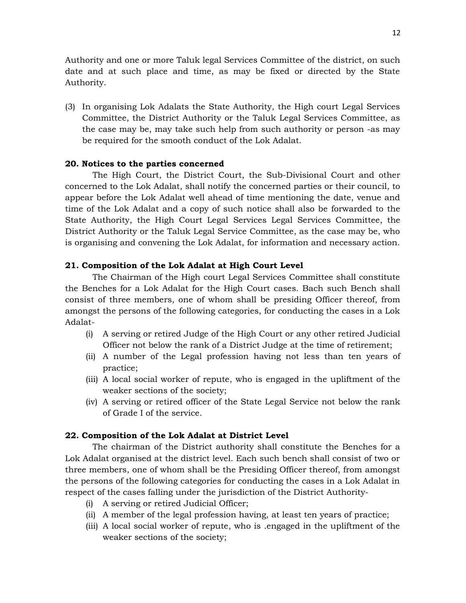Authority and one or more Taluk legal Services Committee of the district, on such date and at such place and time, as may be fixed or directed by the State Authority.

(3) In organising Lok Adalats the State Authority, the High court Legal Services Committee, the District Authority or the Taluk Legal Services Committee, as the case may be, may take such help from such authority or person -as may be required for the smooth conduct of the Lok Adalat.

# **20. Notices to the parties concerned**

The High Court, the District Court, the Sub-Divisional Court and other concerned to the Lok Adalat, shall notify the concerned parties or their council, to appear before the Lok Adalat well ahead of time mentioning the date, venue and time of the Lok Adalat and a copy of such notice shall also be forwarded to the State Authority, the High Court Legal Services Legal Services Committee, the District Authority or the Taluk Legal Service Committee, as the case may be, who is organising and convening the Lok Adalat, for information and necessary action.

# **21. Composition of the Lok Adalat at High Court Level**

The Chairman of the High court Legal Services Committee shall constitute the Benches for a Lok Adalat for the High Court cases. Bach such Bench shall consist of three members, one of whom shall be presiding Officer thereof, from amongst the persons of the following categories, for conducting the cases in a Lok Adalat-

- (i) A serving or retired Judge of the High Court or any other retired Judicial Officer not below the rank of a District Judge at the time of retirement;
- (ii) A number of the Legal profession having not less than ten years of practice;
- (iii) A local social worker of repute, who is engaged in the upliftment of the weaker sections of the society;
- (iv) A serving or retired officer of the State Legal Service not below the rank of Grade I of the service.

# **22. Composition of the Lok Adalat at District Level**

The chairman of the District authority shall constitute the Benches for a Lok Adalat organised at the district level. Each such bench shall consist of two or three members, one of whom shall be the Presiding Officer thereof, from amongst the persons of the following categories for conducting the cases in a Lok Adalat in respect of the cases falling under the jurisdiction of the District Authority-

- (i) A serving or retired Judicial Officer;
- (ii) A member of the legal profession having, at least ten years of practice;
- (iii) A local social worker of repute, who is .engaged in the upliftment of the weaker sections of the society;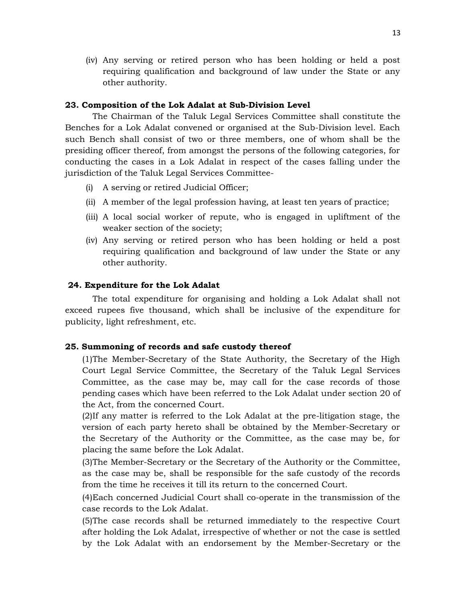(iv) Any serving or retired person who has been holding or held a post requiring qualification and background of law under the State or any other authority.

# **23. Composition of the Lok Adalat at Sub-Division Level**

The Chairman of the Taluk Legal Services Committee shall constitute the Benches for a Lok Adalat convened or organised at the Sub-Division level. Each such Bench shall consist of two or three members, one of whom shall be the presiding officer thereof, from amongst the persons of the following categories, for conducting the cases in a Lok Adalat in respect of the cases falling under the jurisdiction of the Taluk Legal Services Committee-

- (i) A serving or retired Judicial Officer;
- (ii) A member of the legal profession having, at least ten years of practice;
- (iii) A local social worker of repute, who is engaged in upliftment of the weaker section of the society;
- (iv) Any serving or retired person who has been holding or held a post requiring qualification and background of law under the State or any other authority.

# **24. Expenditure for the Lok Adalat**

The total expenditure for organising and holding a Lok Adalat shall not exceed rupees five thousand, which shall be inclusive of the expenditure for publicity, light refreshment, etc.

# **25. Summoning of records and safe custody thereof**

(1)The Member-Secretary of the State Authority, the Secretary of the High Court Legal Service Committee, the Secretary of the Taluk Legal Services Committee, as the case may be, may call for the case records of those pending cases which have been referred to the Lok Adalat under section 20 of the Act, from the concerned Court.

(2)If any matter is referred to the Lok Adalat at the pre-litigation stage, the version of each party hereto shall be obtained by the Member-Secretary or the Secretary of the Authority or the Committee, as the case may be, for placing the same before the Lok Adalat.

(3)The Member-Secretary or the Secretary of the Authority or the Committee, as the case may be, shall be responsible for the safe custody of the records from the time he receives it till its return to the concerned Court.

(4)Each concerned Judicial Court shall co-operate in the transmission of the case records to the Lok Adalat.

(5)The case records shall be returned immediately to the respective Court after holding the Lok Adalat, irrespective of whether or not the case is settled by the Lok Adalat with an endorsement by the Member-Secretary or the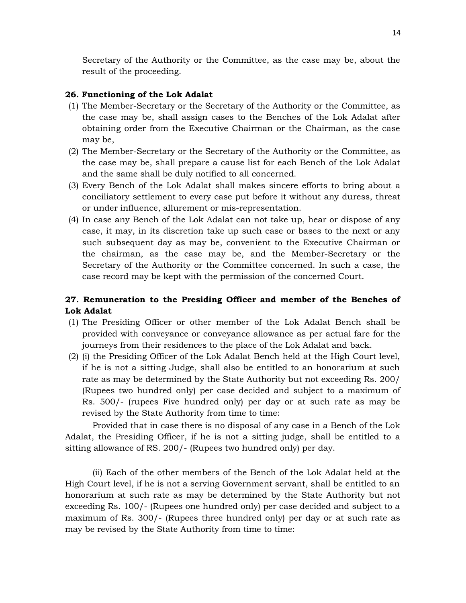Secretary of the Authority or the Committee, as the case may be, about the result of the proceeding.

# **26. Functioning of the Lok Adalat**

- (1) The Member-Secretary or the Secretary of the Authority or the Committee, as the case may be, shall assign cases to the Benches of the Lok Adalat after obtaining order from the Executive Chairman or the Chairman, as the case may be,
- (2) The Member-Secretary or the Secretary of the Authority or the Committee, as the case may be, shall prepare a cause list for each Bench of the Lok Adalat and the same shall be duly notified to all concerned.
- (3) Every Bench of the Lok Adalat shall makes sincere efforts to bring about a conciliatory settlement to every case put before it without any duress, threat or under influence, allurement or mis-representation.
- (4) In case any Bench of the Lok Adalat can not take up, hear or dispose of any case, it may, in its discretion take up such case or bases to the next or any such subsequent day as may be, convenient to the Executive Chairman or the chairman, as the case may be, and the Member-Secretary or the Secretary of the Authority or the Committee concerned. In such a case, the case record may be kept with the permission of the concerned Court.

# **27. Remuneration to the Presiding Officer and member of the Benches of Lok Adalat**

- (1) The Presiding Officer or other member of the Lok Adalat Bench shall be provided with conveyance or conveyance allowance as per actual fare for the journeys from their residences to the place of the Lok Adalat and back.
- (2) (i) the Presiding Officer of the Lok Adalat Bench held at the High Court level, if he is not a sitting Judge, shall also be entitled to an honorarium at such rate as may be determined by the State Authority but not exceeding Rs. 200/ (Rupees two hundred only) per case decided and subject to a maximum of Rs. 500/- (rupees Five hundred only) per day or at such rate as may be revised by the State Authority from time to time:

Provided that in case there is no disposal of any case in a Bench of the Lok Adalat, the Presiding Officer, if he is not a sitting judge, shall be entitled to a sitting allowance of RS. 200/- (Rupees two hundred only) per day.

(ii) Each of the other members of the Bench of the Lok Adalat held at the High Court level, if he is not a serving Government servant, shall be entitled to an honorarium at such rate as may be determined by the State Authority but not exceeding Rs. 100/- (Rupees one hundred only) per case decided and subject to a maximum of Rs. 300/- (Rupees three hundred only) per day or at such rate as may be revised by the State Authority from time to time: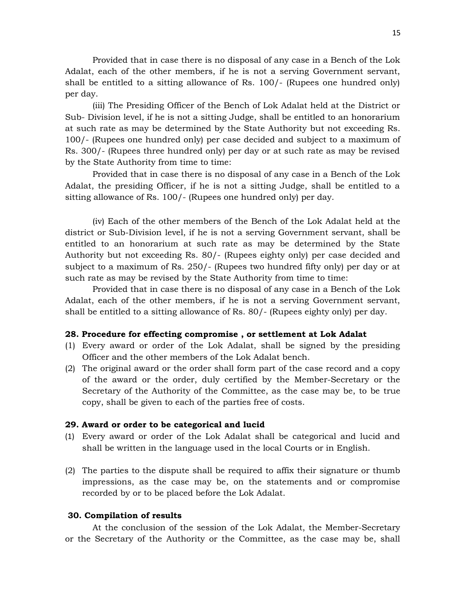Provided that in case there is no disposal of any case in a Bench of the Lok Adalat, each of the other members, if he is not a serving Government servant, shall be entitled to a sitting allowance of Rs. 100/- (Rupees one hundred only) per day.

(iii) The Presiding Officer of the Bench of Lok Adalat held at the District or Sub- Division level, if he is not a sitting Judge, shall be entitled to an honorarium at such rate as may be determined by the State Authority but not exceeding Rs. 100/- (Rupees one hundred only) per case decided and subject to a maximum of Rs. 300/- (Rupees three hundred only) per day or at such rate as may be revised by the State Authority from time to time:

Provided that in case there is no disposal of any case in a Bench of the Lok Adalat, the presiding Officer, if he is not a sitting Judge, shall be entitled to a sitting allowance of Rs. 100/- (Rupees one hundred only) per day.

(iv) Each of the other members of the Bench of the Lok Adalat held at the district or Sub-Division level, if he is not a serving Government servant, shall be entitled to an honorarium at such rate as may be determined by the State Authority but not exceeding Rs. 80/- (Rupees eighty only) per case decided and subject to a maximum of Rs. 250/- (Rupees two hundred fifty only) per day or at such rate as may be revised by the State Authority from time to time:

Provided that in case there is no disposal of any case in a Bench of the Lok Adalat, each of the other members, if he is not a serving Government servant, shall be entitled to a sitting allowance of Rs. 80/- (Rupees eighty only) per day.

# **28. Procedure for effecting compromise , or settlement at Lok Adalat**

- (1) Every award or order of the Lok Adalat, shall be signed by the presiding Officer and the other members of the Lok Adalat bench.
- (2) The original award or the order shall form part of the case record and a copy of the award or the order, duly certified by the Member-Secretary or the Secretary of the Authority of the Committee, as the case may be, to be true copy, shall be given to each of the parties free of costs.

#### **29. Award or order to be categorical and lucid**

- (1) Every award or order of the Lok Adalat shall be categorical and lucid and shall be written in the language used in the local Courts or in English.
- (2) The parties to the dispute shall be required to affix their signature or thumb impressions, as the case may be, on the statements and or compromise recorded by or to be placed before the Lok Adalat.

# **30. Compilation of results**

At the conclusion of the session of the Lok Adalat, the Member-Secretary or the Secretary of the Authority or the Committee, as the case may be, shall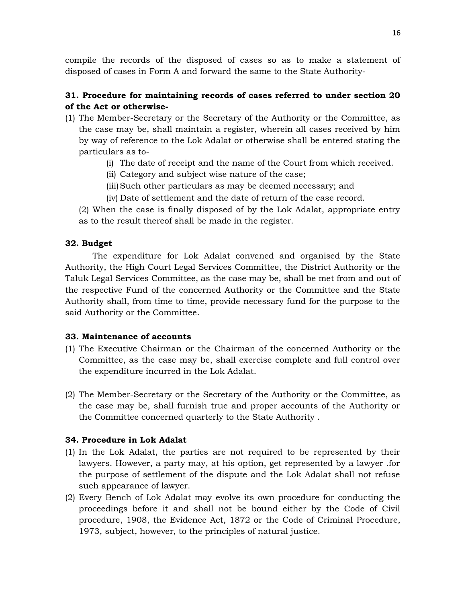compile the records of the disposed of cases so as to make a statement of disposed of cases in Form A and forward the same to the State Authority-

# **31. Procedure for maintaining records of cases referred to under section 20 of the Act or otherwise-**

- (1) The Member-Secretary or the Secretary of the Authority or the Committee, as the case may be, shall maintain a register, wherein all cases received by him by way of reference to the Lok Adalat or otherwise shall be entered stating the particulars as to-
	- (i) The date of receipt and the name of the Court from which received.
	- (ii) Category and subject wise nature of the case;
	- (iii)Such other particulars as may be deemed necessary; and
	- (iv) Date of settlement and the date of return of the case record.

(2) When the case is finally disposed of by the Lok Adalat, appropriate entry as to the result thereof shall be made in the register.

# **32. Budget**

The expenditure for Lok Adalat convened and organised by the State Authority, the High Court Legal Services Committee, the District Authority or the Taluk Legal Services Committee, as the case may be, shall be met from and out of the respective Fund of the concerned Authority or the Committee and the State Authority shall, from time to time, provide necessary fund for the purpose to the said Authority or the Committee.

# **33. Maintenance of accounts**

- (1) The Executive Chairman or the Chairman of the concerned Authority or the Committee, as the case may be, shall exercise complete and full control over the expenditure incurred in the Lok Adalat.
- (2) The Member-Secretary or the Secretary of the Authority or the Committee, as the case may be, shall furnish true and proper accounts of the Authority or the Committee concerned quarterly to the State Authority .

# **34. Procedure in Lok Adalat**

- (1) In the Lok Adalat, the parties are not required to be represented by their lawyers. However, a party may, at his option, get represented by a lawyer .for the purpose of settlement of the dispute and the Lok Adalat shall not refuse such appearance of lawyer.
- (2) Every Bench of Lok Adalat may evolve its own procedure for conducting the proceedings before it and shall not be bound either by the Code of Civil procedure, 1908, the Evidence Act, 1872 or the Code of Criminal Procedure, 1973, subject, however, to the principles of natural justice.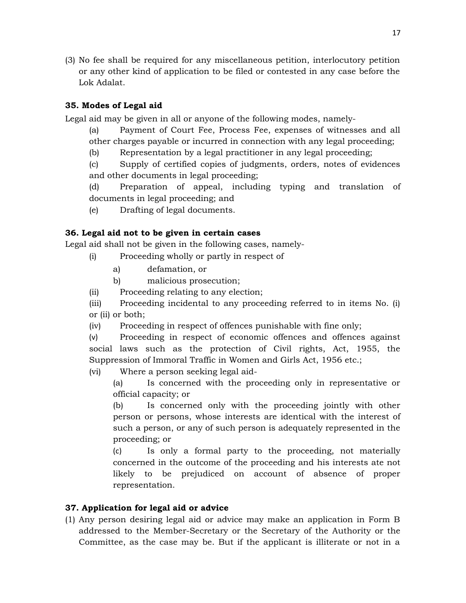(3) No fee shall be required for any miscellaneous petition, interlocutory petition or any other kind of application to be filed or contested in any case before the Lok Adalat.

# **35. Modes of Legal aid**

Legal aid may be given in all or anyone of the following modes, namely-

- (a) Payment of Court Fee, Process Fee, expenses of witnesses and all other charges payable or incurred in connection with any legal proceeding;
- (b) Representation by a legal practitioner in any legal proceeding;
- (c) Supply of certified copies of judgments, orders, notes of evidences and other documents in legal proceeding;

(d) Preparation of appeal, including typing and translation of documents in legal proceeding; and

(e) Drafting of legal documents.

# **36. Legal aid not to be given in certain cases**

Legal aid shall not be given in the following cases, namely-

- (i) Proceeding wholly or partly in respect of
	- a) defamation, or
	- b) malicious prosecution;

(ii) Proceeding relating to any election;

(iii) Proceeding incidental to any proceeding referred to in items No. (i) or (ii) or both;

(iv) Proceeding in respect of offences punishable with fine only;

(v) Proceeding in respect of economic offences and offences against social laws such as the protection of Civil rights, Act, 1955, the Suppression of Immoral Traffic in Women and Girls Act, 1956 etc.;

(vi) Where a person seeking legal aid-

(a) Is concerned with the proceeding only in representative or official capacity; or

(b) Is concerned only with the proceeding jointly with other person or persons, whose interests are identical with the interest of such a person, or any of such person is adequately represented in the proceeding; or

(c) Is only a formal party to the proceeding, not materially concerned in the outcome of the proceeding and his interests ate not likely to be prejudiced on account of absence of proper representation.

# **37. Application for legal aid or advice**

(1) Any person desiring legal aid or advice may make an application in Form B addressed to the Member-Secretary or the Secretary of the Authority or the Committee, as the case may be. But if the applicant is illiterate or not in a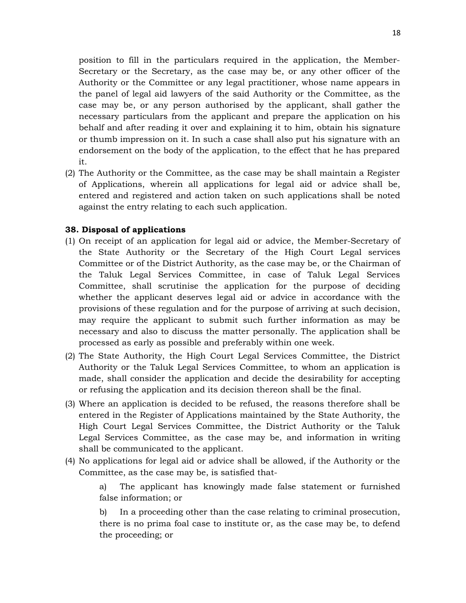position to fill in the particulars required in the application, the Member-Secretary or the Secretary, as the case may be, or any other officer of the Authority or the Committee or any legal practitioner, whose name appears in the panel of legal aid lawyers of the said Authority or the Committee, as the case may be, or any person authorised by the applicant, shall gather the necessary particulars from the applicant and prepare the application on his behalf and after reading it over and explaining it to him, obtain his signature or thumb impression on it. In such a case shall also put his signature with an endorsement on the body of the application, to the effect that he has prepared it.

(2) The Authority or the Committee, as the case may be shall maintain a Register of Applications, wherein all applications for legal aid or advice shall be, entered and registered and action taken on such applications shall be noted against the entry relating to each such application.

# **38. Disposal of applications**

- (1) On receipt of an application for legal aid or advice, the Member-Secretary of the State Authority or the Secretary of the High Court Legal services Committee or of the District Authority, as the case may be, or the Chairman of the Taluk Legal Services Committee, in case of Taluk Legal Services Committee, shall scrutinise the application for the purpose of deciding whether the applicant deserves legal aid or advice in accordance with the provisions of these regulation and for the purpose of arriving at such decision, may require the applicant to submit such further information as may be necessary and also to discuss the matter personally. The application shall be processed as early as possible and preferably within one week.
- (2) The State Authority, the High Court Legal Services Committee, the District Authority or the Taluk Legal Services Committee, to whom an application is made, shall consider the application and decide the desirability for accepting or refusing the application and its decision thereon shall be the final.
- (3) Where an application is decided to be refused, the reasons therefore shall be entered in the Register of Applications maintained by the State Authority, the High Court Legal Services Committee, the District Authority or the Taluk Legal Services Committee, as the case may be, and information in writing shall be communicated to the applicant.
- (4) No applications for legal aid or advice shall be allowed, if the Authority or the Committee, as the case may be, is satisfied that-

a) The applicant has knowingly made false statement or furnished false information; or

b) In a proceeding other than the case relating to criminal prosecution, there is no prima foal case to institute or, as the case may be, to defend the proceeding; or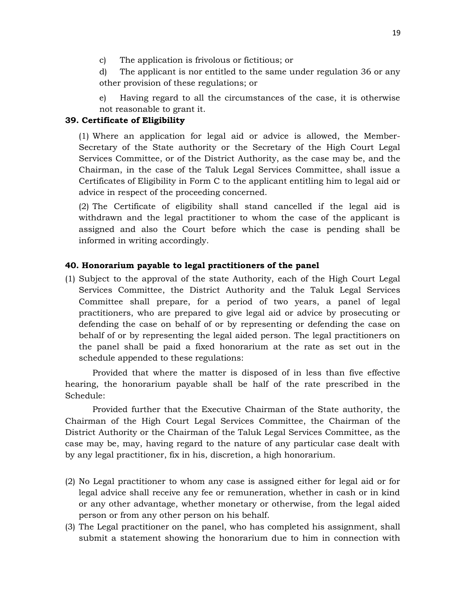- c) The application is frivolous or fictitious; or
- d) The applicant is nor entitled to the same under regulation 36 or any other provision of these regulations; or
- e) Having regard to all the circumstances of the case, it is otherwise not reasonable to grant it.

# **39. Certificate of Eligibility**

(1) Where an application for legal aid or advice is allowed, the Member-Secretary of the State authority or the Secretary of the High Court Legal Services Committee, or of the District Authority, as the case may be, and the Chairman, in the case of the Taluk Legal Services Committee, shall issue a Certificates of Eligibility in Form C to the applicant entitling him to legal aid or advice in respect of the proceeding concerned.

(2) The Certificate of eligibility shall stand cancelled if the legal aid is withdrawn and the legal practitioner to whom the case of the applicant is assigned and also the Court before which the case is pending shall be informed in writing accordingly.

# **40. Honorarium payable to legal practitioners of the panel**

(1) Subject to the approval of the state Authority, each of the High Court Legal Services Committee, the District Authority and the Taluk Legal Services Committee shall prepare, for a period of two years, a panel of legal practitioners, who are prepared to give legal aid or advice by prosecuting or defending the case on behalf of or by representing or defending the case on behalf of or by representing the legal aided person. The legal practitioners on the panel shall be paid a fixed honorarium at the rate as set out in the schedule appended to these regulations:

Provided that where the matter is disposed of in less than five effective hearing, the honorarium payable shall be half of the rate prescribed in the Schedule:

Provided further that the Executive Chairman of the State authority, the Chairman of the High Court Legal Services Committee, the Chairman of the District Authority or the Chairman of the Taluk Legal Services Committee, as the case may be, may, having regard to the nature of any particular case dealt with by any legal practitioner, fix in his, discretion, a high honorarium.

- (2) No Legal practitioner to whom any case is assigned either for legal aid or for legal advice shall receive any fee or remuneration, whether in cash or in kind or any other advantage, whether monetary or otherwise, from the legal aided person or from any other person on his behalf.
- (3) The Legal practitioner on the panel, who has completed his assignment, shall submit a statement showing the honorarium due to him in connection with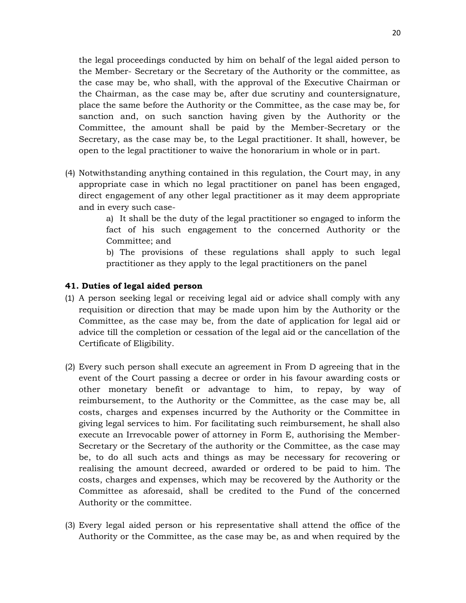the legal proceedings conducted by him on behalf of the legal aided person to the Member- Secretary or the Secretary of the Authority or the committee, as the case may be, who shall, with the approval of the Executive Chairman or the Chairman, as the case may be, after due scrutiny and countersignature, place the same before the Authority or the Committee, as the case may be, for sanction and, on such sanction having given by the Authority or the Committee, the amount shall be paid by the Member-Secretary or the Secretary, as the case may be, to the Legal practitioner. It shall, however, be open to the legal practitioner to waive the honorarium in whole or in part.

(4) Notwithstanding anything contained in this regulation, the Court may, in any appropriate case in which no legal practitioner on panel has been engaged, direct engagement of any other legal practitioner as it may deem appropriate and in every such case-

> a) It shall be the duty of the legal practitioner so engaged to inform the fact of his such engagement to the concerned Authority or the Committee; and

> b) The provisions of these regulations shall apply to such legal practitioner as they apply to the legal practitioners on the panel

# **41. Duties of legal aided person**

- (1) A person seeking legal or receiving legal aid or advice shall comply with any requisition or direction that may be made upon him by the Authority or the Committee, as the case may be, from the date of application for legal aid or advice till the completion or cessation of the legal aid or the cancellation of the Certificate of Eligibility.
- (2) Every such person shall execute an agreement in From D agreeing that in the event of the Court passing a decree or order in his favour awarding costs or other monetary benefit or advantage to him, to repay, by way of reimbursement, to the Authority or the Committee, as the case may be, all costs, charges and expenses incurred by the Authority or the Committee in giving legal services to him. For facilitating such reimbursement, he shall also execute an Irrevocable power of attorney in Form E, authorising the Member-Secretary or the Secretary of the authority or the Committee, as the case may be, to do all such acts and things as may be necessary for recovering or realising the amount decreed, awarded or ordered to be paid to him. The costs, charges and expenses, which may be recovered by the Authority or the Committee as aforesaid, shall be credited to the Fund of the concerned Authority or the committee.
- (3) Every legal aided person or his representative shall attend the office of the Authority or the Committee, as the case may be, as and when required by the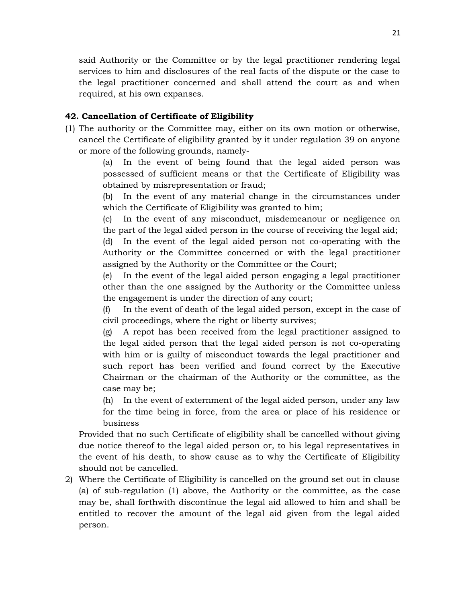said Authority or the Committee or by the legal practitioner rendering legal services to him and disclosures of the real facts of the dispute or the case to the legal practitioner concerned and shall attend the court as and when required, at his own expanses.

# **42. Cancellation of Certificate of Eligibility**

(1) The authority or the Committee may, either on its own motion or otherwise, cancel the Certificate of eligibility granted by it under regulation 39 on anyone or more of the following grounds, namely-

> (a) In the event of being found that the legal aided person was possessed of sufficient means or that the Certificate of Eligibility was obtained by misrepresentation or fraud;

> (b) In the event of any material change in the circumstances under which the Certificate of Eligibility was granted to him;

> (c) In the event of any misconduct, misdemeanour or negligence on the part of the legal aided person in the course of receiving the legal aid;

> (d) In the event of the legal aided person not co-operating with the Authority or the Committee concerned or with the legal practitioner assigned by the Authority or the Committee or the Court;

> (e) In the event of the legal aided person engaging a legal practitioner other than the one assigned by the Authority or the Committee unless the engagement is under the direction of any court;

> (f) In the event of death of the legal aided person, except in the case of civil proceedings, where the right or liberty survives;

> (g) A repot has been received from the legal practitioner assigned to the legal aided person that the legal aided person is not co-operating with him or is guilty of misconduct towards the legal practitioner and such report has been verified and found correct by the Executive Chairman or the chairman of the Authority or the committee, as the case may be;

> (h) In the event of externment of the legal aided person, under any law for the time being in force, from the area or place of his residence or business

Provided that no such Certificate of eligibility shall be cancelled without giving due notice thereof to the legal aided person or, to his legal representatives in the event of his death, to show cause as to why the Certificate of Eligibility should not be cancelled.

2) Where the Certificate of Eligibility is cancelled on the ground set out in clause (a) of sub-regulation (1) above, the Authority or the committee, as the case may be, shall forthwith discontinue the legal aid allowed to him and shall be entitled to recover the amount of the legal aid given from the legal aided person.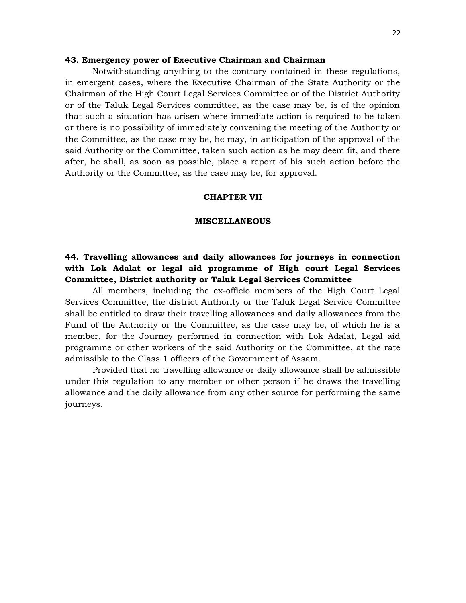#### **43. Emergency power of Executive Chairman and Chairman**

Notwithstanding anything to the contrary contained in these regulations, in emergent cases, where the Executive Chairman of the State Authority or the Chairman of the High Court Legal Services Committee or of the District Authority or of the Taluk Legal Services committee, as the case may be, is of the opinion that such a situation has arisen where immediate action is required to be taken or there is no possibility of immediately convening the meeting of the Authority or the Committee, as the case may be, he may, in anticipation of the approval of the said Authority or the Committee, taken such action as he may deem fit, and there after, he shall, as soon as possible, place a report of his such action before the Authority or the Committee, as the case may be, for approval.

#### **CHAPTER VII**

#### **MISCELLANEOUS**

# **44. Travelling allowances and daily allowances for journeys in connection with Lok Adalat or legal aid programme of High court Legal Services Committee, District authority or Taluk Legal Services Committee**

All members, including the ex-officio members of the High Court Legal Services Committee, the district Authority or the Taluk Legal Service Committee shall be entitled to draw their travelling allowances and daily allowances from the Fund of the Authority or the Committee, as the case may be, of which he is a member, for the Journey performed in connection with Lok Adalat, Legal aid programme or other workers of the said Authority or the Committee, at the rate admissible to the Class 1 officers of the Government of Assam.

Provided that no travelling allowance or daily allowance shall be admissible under this regulation to any member or other person if he draws the travelling allowance and the daily allowance from any other source for performing the same journeys.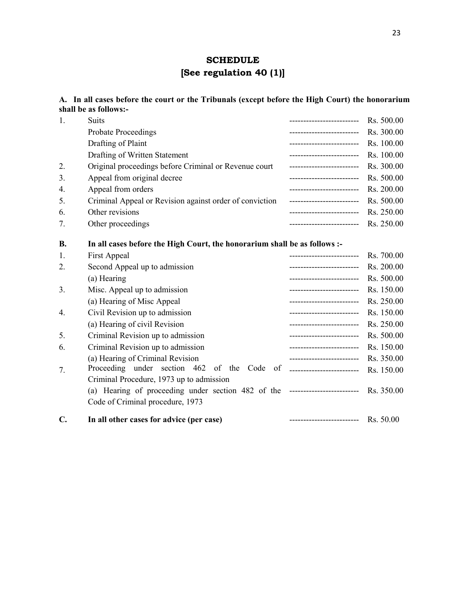# **SCHEDULE [See regulation 40 (1)]**

**A. In all cases before the court or the Tribunals (except before the High Court) the honorarium shall be as follows:-**

| 1. | <b>Suits</b>                                                                     | --------------------------     | Rs. 500.00 |
|----|----------------------------------------------------------------------------------|--------------------------------|------------|
|    | <b>Probate Proceedings</b>                                                       | --------------------------     | Rs. 300.00 |
|    | Drafting of Plaint                                                               | -------------------------      | Rs. 100.00 |
|    | Drafting of Written Statement                                                    | -------------------------      | Rs. 100.00 |
| 2. | Original proceedings before Criminal or Revenue court                            | -------------------------      | Rs. 300.00 |
| 3. | Appeal from original decree                                                      | -------------------------      | Rs. 500.00 |
| 4. | Appeal from orders                                                               | -------------------------      | Rs. 200.00 |
| 5. | Criminal Appeal or Revision against order of conviction                          | -------------------------      | Rs. 500.00 |
| 6. | Other revisions                                                                  | -------------------------      | Rs. 250.00 |
| 7. | Other proceedings                                                                | -------------------------      | Rs. 250.00 |
| В. | In all cases before the High Court, the honorarium shall be as follows :-        |                                |            |
| 1. | First Appeal                                                                     | ----------------------         | Rs. 700.00 |
| 2. | Second Appeal up to admission                                                    | -------------------------      | Rs. 200.00 |
|    | (a) Hearing                                                                      | -------------------------      | Rs. 500.00 |
| 3. | Misc. Appeal up to admission                                                     | -------------------------      | Rs. 150.00 |
|    | (a) Hearing of Misc Appeal                                                       | -------------------------      | Rs. 250.00 |
| 4. | Civil Revision up to admission                                                   | -------------------------      | Rs. 150.00 |
|    | (a) Hearing of civil Revision                                                    | -------------------------      | Rs. 250.00 |
| 5. | Criminal Revision up to admission                                                | -------------------------      | Rs. 500.00 |
| 6. | Criminal Revision up to admission                                                | -------------------------      | Rs. 150.00 |
|    | (a) Hearing of Criminal Revision                                                 | -------------------------      | Rs. 350.00 |
| 7. | Proceeding<br>under section 462<br>of the<br>Code                                | of ___________________________ | Rs. 150.00 |
|    | Criminal Procedure, 1973 up to admission                                         |                                |            |
|    | (a) Hearing of proceeding under section 482 of the ----------------------------- |                                | Rs. 350.00 |
|    | Code of Criminal procedure, 1973                                                 |                                |            |
| C. | In all other cases for advice (per case)                                         | -------------------------      | Rs. 50.00  |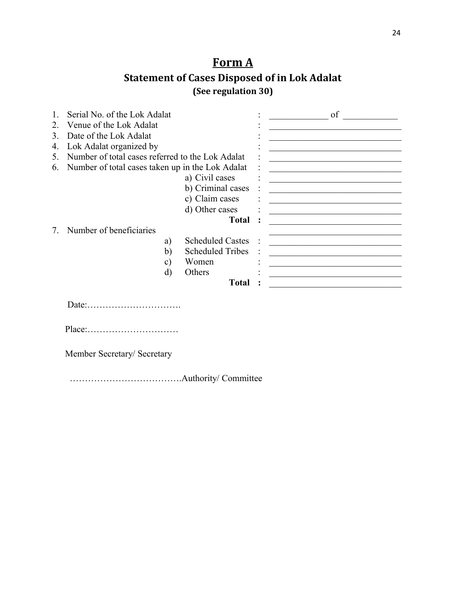# **Form A**

# **Statement of Cases Disposed of in Lok Adalat (See regulation 30)**

|             | Serial No. of the Lok Adalat                     |                         | of |
|-------------|--------------------------------------------------|-------------------------|----|
| $2^{\circ}$ | Venue of the Lok Adalat                          |                         |    |
| 3           | Date of the Lok Adalat                           |                         |    |
| 4.          | Lok Adalat organized by                          |                         |    |
| 5.          | Number of total cases referred to the Lok Adalat |                         |    |
| 6.          | Number of total cases taken up in the Lok Adalat |                         |    |
|             |                                                  | a) Civil cases          |    |
|             |                                                  | b) Criminal cases       |    |
|             |                                                  | c) Claim cases          |    |
|             |                                                  | d) Other cases          |    |
|             |                                                  | <b>Total</b>            |    |
|             | Number of beneficiaries                          |                         |    |
|             | a)                                               | <b>Scheduled Castes</b> |    |
|             | b)                                               | <b>Scheduled Tribes</b> |    |
|             | $\mathbf{c})$                                    | Women                   |    |
|             | d)                                               | Others                  |    |
|             |                                                  | <b>Total</b>            |    |
|             |                                                  |                         |    |

Date:………………………….

Place:…………………………

Member Secretary/ Secretary

……………………………….Authority/ Committee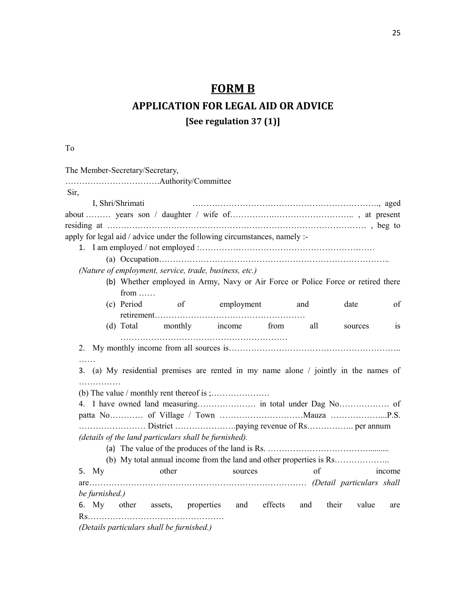# **FORM B**

# **APPLICATION FOR LEGAL AID OR ADVICE**

**[See regulation 37 (1)]**

To

| Sir,<br>I, Shri/Shrimati<br>apply for legal aid / advice under the following circumstances, namely :-<br>(Nature of employment, service, trade, business, etc.)<br>(b) Whether employed in Army, Navy or Air Force or Police Force or retired there<br>from $\dots$<br>(c) Period<br>of employment and<br>date<br>of<br>(d) Total monthly income from<br>all<br>$\overline{1}S$<br>sources<br>3. (a) My residential premises are rented in my name alone / jointly in the names of<br>.<br>(details of the land particulars shall be furnished).<br>of<br>5. My other<br>sources<br>income<br>be furnished.)<br>6. My other assets, properties and effects<br>and their value<br>are<br>(Details particulars shall be furnished.) |  | The Member-Secretary/Secretary, |  |  |  |
|-----------------------------------------------------------------------------------------------------------------------------------------------------------------------------------------------------------------------------------------------------------------------------------------------------------------------------------------------------------------------------------------------------------------------------------------------------------------------------------------------------------------------------------------------------------------------------------------------------------------------------------------------------------------------------------------------------------------------------------|--|---------------------------------|--|--|--|
|                                                                                                                                                                                                                                                                                                                                                                                                                                                                                                                                                                                                                                                                                                                                   |  |                                 |  |  |  |
|                                                                                                                                                                                                                                                                                                                                                                                                                                                                                                                                                                                                                                                                                                                                   |  |                                 |  |  |  |
|                                                                                                                                                                                                                                                                                                                                                                                                                                                                                                                                                                                                                                                                                                                                   |  |                                 |  |  |  |
|                                                                                                                                                                                                                                                                                                                                                                                                                                                                                                                                                                                                                                                                                                                                   |  |                                 |  |  |  |
|                                                                                                                                                                                                                                                                                                                                                                                                                                                                                                                                                                                                                                                                                                                                   |  |                                 |  |  |  |
|                                                                                                                                                                                                                                                                                                                                                                                                                                                                                                                                                                                                                                                                                                                                   |  |                                 |  |  |  |
|                                                                                                                                                                                                                                                                                                                                                                                                                                                                                                                                                                                                                                                                                                                                   |  |                                 |  |  |  |
|                                                                                                                                                                                                                                                                                                                                                                                                                                                                                                                                                                                                                                                                                                                                   |  |                                 |  |  |  |
|                                                                                                                                                                                                                                                                                                                                                                                                                                                                                                                                                                                                                                                                                                                                   |  |                                 |  |  |  |
|                                                                                                                                                                                                                                                                                                                                                                                                                                                                                                                                                                                                                                                                                                                                   |  |                                 |  |  |  |
|                                                                                                                                                                                                                                                                                                                                                                                                                                                                                                                                                                                                                                                                                                                                   |  |                                 |  |  |  |
|                                                                                                                                                                                                                                                                                                                                                                                                                                                                                                                                                                                                                                                                                                                                   |  |                                 |  |  |  |
|                                                                                                                                                                                                                                                                                                                                                                                                                                                                                                                                                                                                                                                                                                                                   |  |                                 |  |  |  |
|                                                                                                                                                                                                                                                                                                                                                                                                                                                                                                                                                                                                                                                                                                                                   |  |                                 |  |  |  |
|                                                                                                                                                                                                                                                                                                                                                                                                                                                                                                                                                                                                                                                                                                                                   |  |                                 |  |  |  |
|                                                                                                                                                                                                                                                                                                                                                                                                                                                                                                                                                                                                                                                                                                                                   |  |                                 |  |  |  |
|                                                                                                                                                                                                                                                                                                                                                                                                                                                                                                                                                                                                                                                                                                                                   |  |                                 |  |  |  |
|                                                                                                                                                                                                                                                                                                                                                                                                                                                                                                                                                                                                                                                                                                                                   |  |                                 |  |  |  |
|                                                                                                                                                                                                                                                                                                                                                                                                                                                                                                                                                                                                                                                                                                                                   |  |                                 |  |  |  |
|                                                                                                                                                                                                                                                                                                                                                                                                                                                                                                                                                                                                                                                                                                                                   |  |                                 |  |  |  |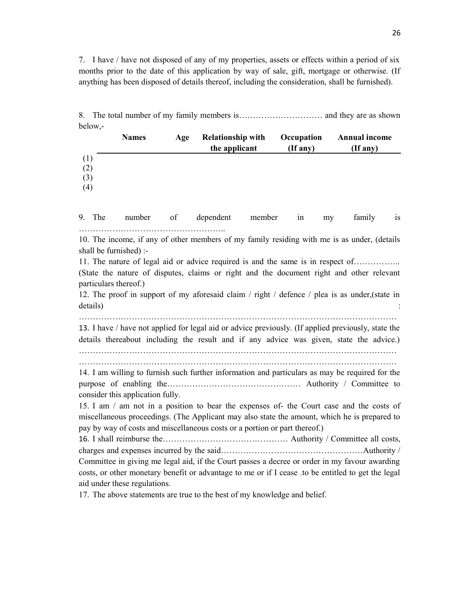7. I have / have not disposed of any of my properties, assets or effects within a period of six months prior to the date of this application by way of sale, gift, mortgage or otherwise. (If anything has been disposed of details thereof, including the consideration, shall be furnished).

8. The total number of my family members is………………………… and they are as shown below,-

|                          | <b>Names</b> | Age | <b>Relationship with</b><br>the applicant | Occupation<br>$($ If any $)$ | <b>Annual income</b><br>(If any) |
|--------------------------|--------------|-----|-------------------------------------------|------------------------------|----------------------------------|
| (1)<br>(2)<br>(3)<br>(4) |              |     |                                           |                              |                                  |

9. The number of dependent member in my family is ……………………………………………..

10. The income, if any of other members of my family residing with me is as under, (details shall be furnished) :-

11. The nature of legal aid or advice required is and the same is in respect of……………..

(State the nature of disputes, claims or right and the document right and other relevant particulars thereof.)

12. The proof in support of my aforesaid claim / right / defence / plea is as under,(state in details) in the contract of the contract of the contract of the contract of the contract of the contract of the contract of the contract of the contract of the contract of the contract of the contract of the contract of th

……………………………………………………………………………………………………

13. I have / have not applied for legal aid or advice previously. (If applied previously, state the details thereabout including the result and if any advice was given, state the advice.)

…………………………………………………………………………………………………… ……………………………………………………………………………………………………

14. I am willing to furnish such further information and particulars as may be required for the purpose of enabling the………………………………………… Authority / Committee to consider this application fully.

15. I am / am not in a position to bear the expenses of- the Court case and the costs of miscellaneous proceedings. (The Applicant may also state the amount, which he is prepared to pay by way of costs and miscellaneous costs or a portion or part thereof.)

16. I shall reimburse the……………………………………… Authority / Committee all costs, charges and expenses incurred by the said……………………………………………Authority / Committee in giving me legal aid, if the Court passes a decree or order in my favour awarding costs, or other monetary benefit or advantage to me or if I cease .to be entitled to get the legal aid under these regulations.

17. The above statements are true to the best of my knowledge and belief.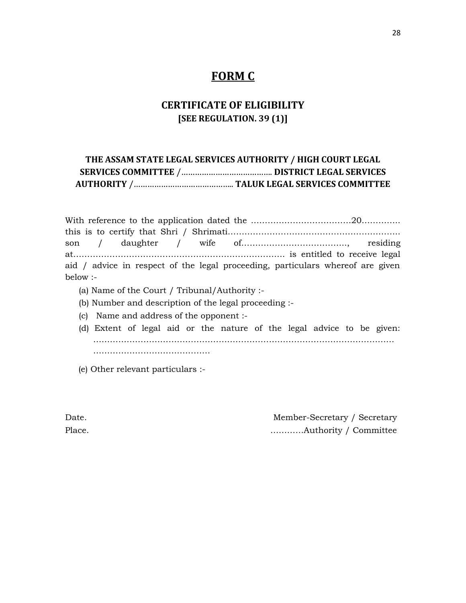# **FORM C**

# **CERTIFICATE OF ELIGIBILITY [SEE REGULATION. 39 (1)]**

|  | THE ASSAM STATE LEGAL SERVICES AUTHORITY / HIGH COURT LEGAL |
|--|-------------------------------------------------------------|
|  |                                                             |
|  |                                                             |

| aid / advice in respect of the legal proceeding, particulars where of are given |  |
|---------------------------------------------------------------------------------|--|
| $below: -$                                                                      |  |

- (a) Name of the Court / Tribunal/Authority :-
- (b) Number and description of the legal proceeding :-
- (c) Name and address of the opponent :-
- (d) Extent of legal aid or the nature of the legal advice to be given: ……………………………………………………………………………………………… ……………………………………
- (e) Other relevant particulars :-

| Date.  | Member-Secretary / Secretary |
|--------|------------------------------|
| Place. |                              |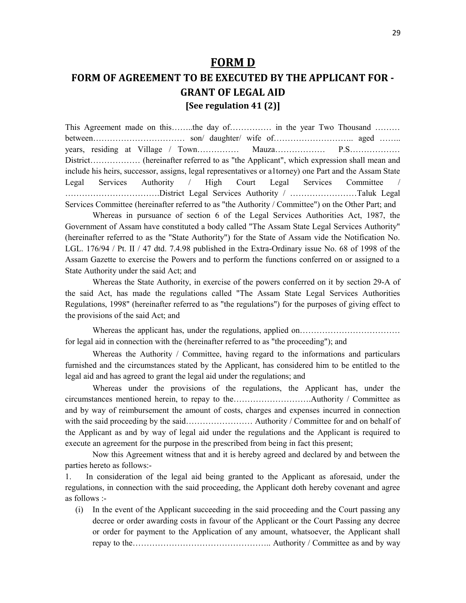# **FORM D**

# **FORM OF AGREEMENT TO BE EXECUTED BY THE APPLICANT FOR - GRANT OF LEGAL AID [See regulation 41 (2)]**

This Agreement made on this……..the day of…………… in the year Two Thousand ……… between…………………………… son/ daughter/ wife of……………………….. aged …….. years, residing at Village / Town…………… Mauza……………… P.S……………… District……………… (hereinafter referred to as "the Applicant", which expression shall mean and include his heirs, successor, assigns, legal representatives or a1torney) one Part and the Assam State Legal Services Authority / High Court Legal Services Committee / …………………………….District Legal Services Authority / ……………………Taluk Legal Services Committee (hereinafter referred to as "the Authority / Committee") on the Other Part; and

Whereas in pursuance of section 6 of the Legal Services Authorities Act, 1987, the Government of Assam have constituted a body called "The Assam State Legal Services Authority" (hereinafter referred to as the "State Authority") for the State of Assam vide the Notification No. LGL. 176/94 / Pt. II / 47 dtd. 7.4.98 published in the Extra-Ordinary issue No. 68 of 1998 of the Assam Gazette to exercise the Powers and to perform the functions conferred on or assigned to a State Authority under the said Act; and

Whereas the State Authority, in exercise of the powers conferred on it by section 29-A of the said Act, has made the regulations called "The Assam State Legal Services Authorities Regulations, 1998" (hereinafter referred to as "the regulations") for the purposes of giving effect to the provisions of the said Act; and

Whereas the applicant has, under the regulations, applied on……………………………………………………… for legal aid in connection with the (hereinafter referred to as "the proceeding"); and

Whereas the Authority / Committee, having regard to the informations and particulars furnished and the circumstances stated by the Applicant, has considered him to be entitled to the legal aid and has agreed to grant the legal aid under the regulations; and

Whereas under the provisions of the regulations, the Applicant has, under the circumstances mentioned herein, to repay to the……………………….Authority / Committee as and by way of reimbursement the amount of costs, charges and expenses incurred in connection with the said proceeding by the said…………………… Authority / Committee for and on behalf of the Applicant as and by way of legal aid under the regulations and the Applicant is required to execute an agreement for the purpose in the prescribed from being in fact this present;

Now this Agreement witness that and it is hereby agreed and declared by and between the parties hereto as follows:-

1. In consideration of the legal aid being granted to the Applicant as aforesaid, under the regulations, in connection with the said proceeding, the Applicant doth hereby covenant and agree as follows :-

(i) In the event of the Applicant succeeding in the said proceeding and the Court passing any decree or order awarding costs in favour of the Applicant or the Court Passing any decree or order for payment to the Application of any amount, whatsoever, the Applicant shall repay to the………………………………………….. Authority / Committee as and by way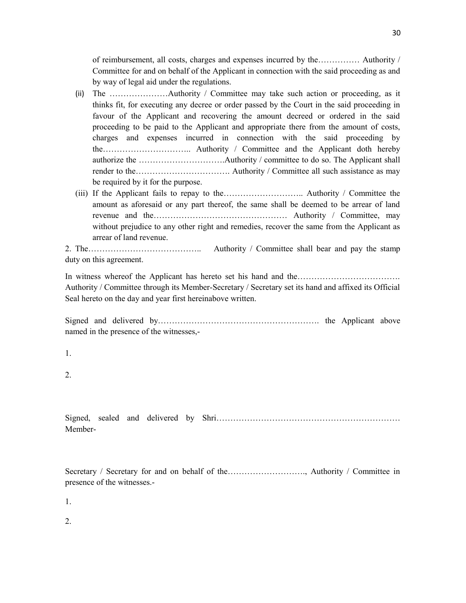of reimbursement, all costs, charges and expenses incurred by the…………… Authority / Committee for and on behalf of the Applicant in connection with the said proceeding as and by way of legal aid under the regulations.

- (ii) The …………………Authority / Committee may take such action or proceeding, as it thinks fit, for executing any decree or order passed by the Court in the said proceeding in favour of the Applicant and recovering the amount decreed or ordered in the said proceeding to be paid to the Applicant and appropriate there from the amount of costs, charges and expenses incurred in connection with the said proceeding by the………………………….. Authority / Committee and the Applicant doth hereby authorize the ………………………….Authority / committee to do so. The Applicant shall render to the……………………………. Authority / Committee all such assistance as may be required by it for the purpose.
- (iii) If the Applicant fails to repay to the……………………….. Authority / Committee the amount as aforesaid or any part thereof, the same shall be deemed to be arrear of land revenue and the………………………………………… Authority / Committee, may without prejudice to any other right and remedies, recover the same from the Applicant as arrear of land revenue.

2. The………………………………….. Authority / Committee shall bear and pay the stamp duty on this agreement.

In witness whereof the Applicant has hereto set his hand and the…………………………………………… Authority / Committee through its Member-Secretary / Secretary set its hand and affixed its Official Seal hereto on the day and year first hereinabove written.

Signed and delivered by…………………………………………………. the Applicant above named in the presence of the witnesses,-

1.

2.

Signed, sealed and delivered by Shri………………………………………………………… Member-

Secretary / Secretary for and on behalf of the………………………., Authority / Committee in presence of the witnesses.-

1.

 $2<sup>2</sup>$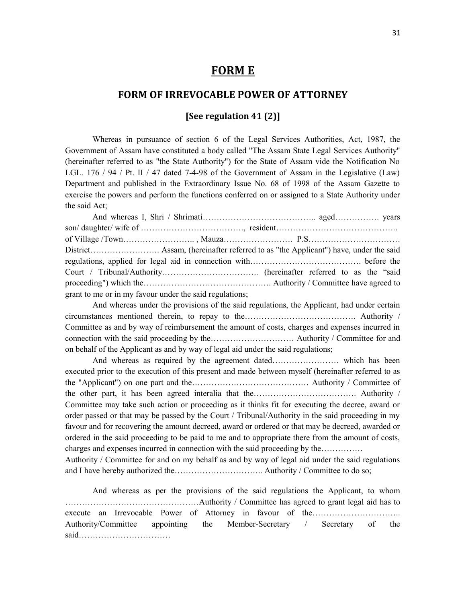# **FORM E**

# **FORM OF IRREVOCABLE POWER OF ATTORNEY**

# **[See regulation 41 (2)]**

Whereas in pursuance of section 6 of the Legal Services Authorities, Act, 1987, the Government of Assam have constituted a body called "The Assam State Legal Services Authority" (hereinafter referred to as "the State Authority") for the State of Assam vide the Notification No LGL. 176 / 94 / Pt. II / 47 dated 7-4-98 of the Government of Assam in the Legislative (Law) Department and published in the Extraordinary Issue No. 68 of 1998 of the Assam Gazette to exercise the powers and perform the functions conferred on or assigned to a State Authority under the said Act;

And whereas I, Shri / Shrimati………………………………….. aged……………. years son/ daughter/ wife of ………………………………., resident…………………………………….. of Village /Town…………………….. , Mauza……………………. P.S…………………………… District……………………. Assam, (hereinafter referred to as "the Applicant") have, under the said regulations, applied for legal aid in connection with…………………………………. before the Court / Tribunal/Authority…………………………….. (hereinafter referred to as the "said proceeding") which the………………………………………. Authority / Committee have agreed to grant to me or in my favour under the said regulations;

And whereas under the provisions of the said regulations, the Applicant, had under certain circumstances mentioned therein, to repay to the…………………………………. Authority / Committee as and by way of reimbursement the amount of costs, charges and expenses incurred in connection with the said proceeding by the………………………… Authority / Committee for and on behalf of the Applicant as and by way of legal aid under the said regulations;

And whereas as required by the agreement dated…………………… which has been executed prior to the execution of this present and made between myself (hereinafter referred to as the "Applicant") on one part and the…………………………………… Authority / Committee of the other part, it has been agreed interalia that the………………………………. Authority / Committee may take such action or proceeding as it thinks fit for executing the decree, award or order passed or that may be passed by the Court / Tribunal/Authority in the said proceeding in my favour and for recovering the amount decreed, award or ordered or that may be decreed, awarded or ordered in the said proceeding to be paid to me and to appropriate there from the amount of costs, charges and expenses incurred in connection with the said proceeding by the……………

Authority / Committee for and on my behalf as and by way of legal aid under the said regulations and I have hereby authorized the………………………….. Authority / Committee to do so;

And whereas as per the provisions of the said regulations the Applicant, to whom …………………………………………Authority / Committee has agreed to grant legal aid has to execute an Irrevocable Power of Attorney in favour of the………………………….. Authority/Committee appointing the Member-Secretary / Secretary of the said……………………………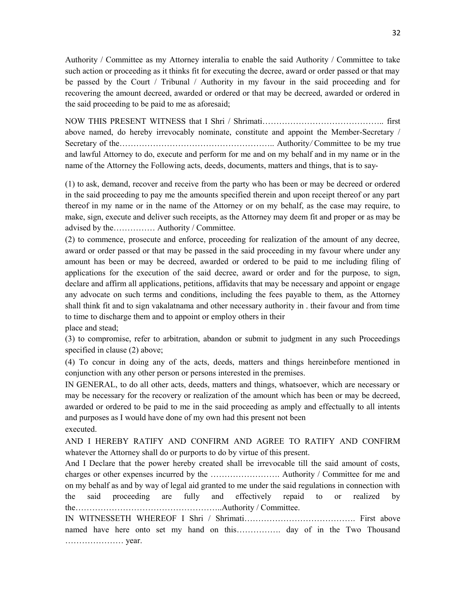Authority / Committee as my Attorney interalia to enable the said Authority / Committee to take such action or proceeding as it thinks fit for executing the decree, award or order passed or that may be passed by the Court / Tribunal / Authority in my favour in the said proceeding and for recovering the amount decreed, awarded or ordered or that may be decreed, awarded or ordered in the said proceeding to be paid to me as aforesaid;

NOW THIS PRESENT WITNESS that I Shri / Shrimati…………………………………….. first above named, do hereby irrevocably nominate, constitute and appoint the Member-Secretary / Secretary of the……………………………………………….. Authority*/* Committee to be my true and lawful Attorney to do, execute and perform for me and on my behalf and in my name or in the name of the Attorney the Following acts, deeds, documents, matters and things, that is to say-

(1) to ask, demand, recover and receive from the party who has been or may be decreed or ordered in the said proceeding to pay me the amounts specified therein and upon receipt thereof or any part thereof in my name or in the name of the Attorney or on my behalf, as the case may require, to make, sign, execute and deliver such receipts, as the Attorney may deem fit and proper or as may be advised by the…………… Authority / Committee.

(2) to commence, prosecute and enforce, proceeding for realization of the amount of any decree, award or order passed or that may be passed in the said proceeding in my favour where under any amount has been or may be decreed, awarded or ordered to be paid to me including filing of applications for the execution of the said decree, award or order and for the purpose, to sign, declare and affirm all applications, petitions, affidavits that may be necessary and appoint or engage any advocate on such terms and conditions, including the fees payable to them, as the Attorney shall think fit and to sign vakalatnama and other necessary authority in . their favour and from time to time to discharge them and to appoint or employ others in their

place and stead;

(3) to compromise, refer to arbitration, abandon or submit to judgment in any such Proceedings specified in clause (2) above;

(4) To concur in doing any of the acts, deeds, matters and things hereinbefore mentioned in conjunction with any other person or persons interested in the premises.

IN GENERAL, to do all other acts, deeds, matters and things, whatsoever, which are necessary or may be necessary for the recovery or realization of the amount which has been or may be decreed, awarded or ordered to be paid to me in the said proceeding as amply and effectually to all intents and purposes as I would have done of my own had this present not been executed.

AND I HEREBY RATIFY AND CONFIRM AND AGREE TO RATIFY AND CONFIRM whatever the Attorney shall do or purports to do by virtue of this present.

And I Declare that the power hereby created shall be irrevocable till the said amount of costs, charges or other expenses incurred by the ……………………. Authority / Committee for me and on my behalf as and by way of legal aid granted to me under the said regulations in connection with the said proceeding are fully and effectively repaid to or realized by the……………………………………………..Authority / Committee.

IN WITNESSETH WHEREOF I Shri / Shrimati…………………………………. First above named have here onto set my hand on this……………. day of in the Two Thousand ………………… year.